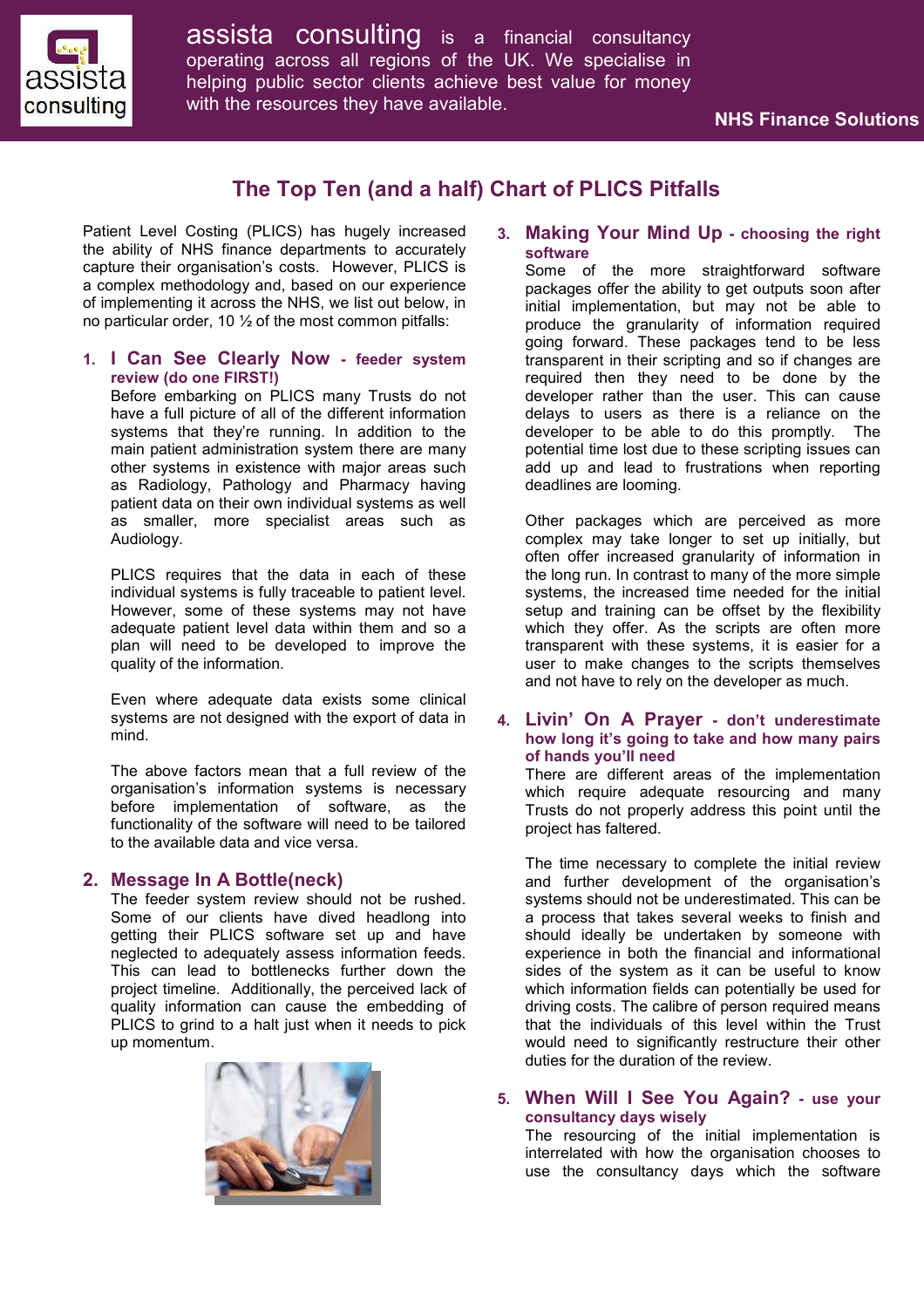

assista consulting is <sup>a</sup> financial consultancy operating across all regions of the UK. We specialise in helping public sector clients achieve best value for money with the resources they have available.

# **The Top Ten (and a half) Chart of PLICS Pitfalls**

Patient Level Costing (PLICS) has hugely increased the ability of NHS finance departments to accurately capture their organisation's costs. However, PLICS is a complex methodology and, based on our experience of implementing it across the NHS, we list out below, in no particular order, 10 ½ of the most common pitfalls:

### **1. I Can See Clearly Now - feeder system review (do one FIRST!)**

Before embarking on PLICS many Trusts do not have a full picture of all of the different information systems that they're running. In addition to the main patient administration system there are many other systems in existence with major areas such as Radiology, Pathology and Pharmacy having patient data on their own individual systems as well as smaller, more specialist areas such as Audiology.

PLICS requires that the data in each of these individual systems is fully traceable to patient level. However, some of these systems may not have adequate patient level data within them and so a plan will need to be developed to improve the quality of the information.

Even where adequate data exists some clinical systems are not designed with the export of data in mind.

The above factors mean that a full review of the organisation's information systems is necessary before implementation of software, as the functionality of the software will need to be tailored to the available data and vice versa.

### **2. Message In A Bottle(neck)**

The feeder system review should not be rushed. Some of our clients have dived headlong into getting their PLICS software set up and have neglected to adequately assess information feeds. This can lead to bottlenecks further down the project timeline. Additionally, the perceived lack of quality information can cause the embedding of PLICS to grind to a halt just when it needs to pick up momentum.



## **3. Making Your Mind Up - choosing the right software**

Some of the more straightforward software packages offer the ability to get outputs soon after initial implementation, but may not be able to produce the granularity of information required going forward. These packages tend to be less transparent in their scripting and so if changes are required then they need to be done by the developer rather than the user. This can cause delays to users as there is a reliance on the developer to be able to do this promptly. The potential time lost due to these scripting issues can add up and lead to frustrations when reporting deadlines are looming.

Other packages which are perceived as more complex may take longer to set up initially, but often offer increased granularity of information in the long run. In contrast to many of the more simple systems, the increased time needed for the initial setup and training can be offset by the flexibility which they offer. As the scripts are often more transparent with these systems, it is easier for a user to make changes to the scripts themselves and not have to rely on the developer as much.

#### **4. Livin' On A Prayer - don't underestimate how long it's going to take and how many pairs of hands you'll need**

There are different areas of the implementation which require adequate resourcing and many Trusts do not properly address this point until the project has faltered.

The time necessary to complete the initial review and further development of the organisation's systems should not be underestimated. This can be a process that takes several weeks to finish and should ideally be undertaken by someone with experience in both the financial and informational sides of the system as it can be useful to know which information fields can potentially be used for driving costs. The calibre of person required means that the individuals of this level within the Trust would need to significantly restructure their other duties for the duration of the review.

## **5. When Will I See You Again? - use your consultancy days wisely**

The resourcing of the initial implementation is interrelated with how the organisation chooses to use the consultancy days which the software